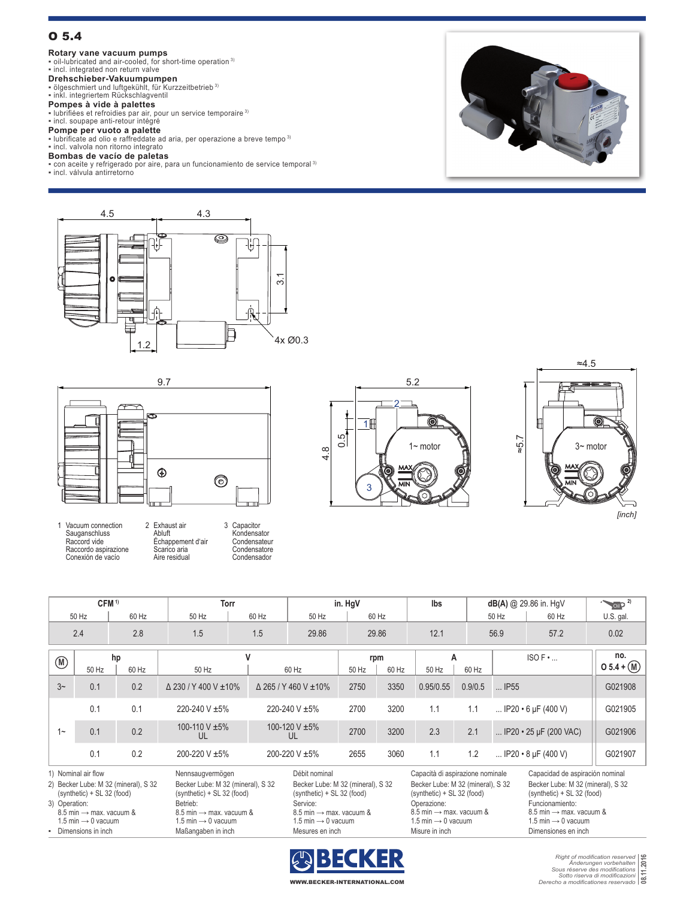# O 5.4

**Rotary vane vacuum pumps**<br>▪ oil-lubricated and air-cooled, for short-time operation <sup>3)</sup><br>▪ incl. integrated non return valve

**Drehschieber-Vakuumpumpen**<br>▪ ölgeschmiert und luftgekühlt, für Kurzzeitbetrieb <sup>3)</sup><br>▪ inkl. integriertem Rückschlagventil

**Pompes à vide à palettes**<br>▪ lubrifiées et refroidies par air, pour un service temporaire <sup>3)</sup><br>▪ incl. soupape anti-retour intégré

**Pompe per vuoto a palette**<br>▪ lubrificate ad olio e raffreddate ad aria, per operazione a breve tempo <sup>3)</sup><br>▪ incl. valvola non ritorno integrato

## **Bombas de vacío de paletas**

▪ con aceite y refrigerado por aire, para un funcionamiento de service temporal 3)

▪ incl. válvula antirretorno











| CFM <sup>1)</sup>    |                                                                                        |                                      | <b>Torr</b>                         |                                                                       |              | in. HgV                                                                           |               |              | lbs                                                                                  |                                  |                     | $dB(A)$ @ 29.86 in. HgV                                                                  | $\sim$ 0il $P$ <sup>2)</sup> |
|----------------------|----------------------------------------------------------------------------------------|--------------------------------------|-------------------------------------|-----------------------------------------------------------------------|--------------|-----------------------------------------------------------------------------------|---------------|--------------|--------------------------------------------------------------------------------------|----------------------------------|---------------------|------------------------------------------------------------------------------------------|------------------------------|
|                      | 50 Hz                                                                                  | 60 Hz                                | 50 Hz                               | 60 Hz                                                                 |              | 50 Hz                                                                             |               | 60 Hz        |                                                                                      |                                  | 50 Hz               | 60 Hz                                                                                    | U.S. gal.                    |
| 2.4                  |                                                                                        | 2.8                                  | 1.5                                 |                                                                       | 1.5<br>29.86 |                                                                                   | 29.86         |              | 12.1                                                                                 |                                  | 56.9                | 57.2                                                                                     | 0.02                         |
| $(\mathbb{N})$       | 50 Hz                                                                                  | hp<br>60 Hz                          | 50 Hz                               | v                                                                     |              | 60 Hz                                                                             | 50 Hz         | rpm<br>60 Hz | A<br>50 Hz                                                                           | 60 Hz                            |                     | $ISOF$                                                                                   | no.<br>$05.4 + (M)$          |
| 3 <sup>2</sup>       | 0.1                                                                                    | 0.2                                  | $\triangle$ 230 / Y 400 V $\pm$ 10% |                                                                       |              | $\triangle$ 265 / Y 460 V $\pm$ 10%                                               | 2750          | 3350         | 0.95/0.55                                                                            | 0.9/0.5                          | $$ IP <sub>55</sub> |                                                                                          | G021908                      |
| $1 -$                | 0.1                                                                                    | 0.1                                  | 220-240 V ±5%                       |                                                                       |              | 220-240 V ±5%                                                                     | 2700          | 3200         | 1.1                                                                                  | 1.1                              |                     | IP20 $\cdot$ 6 µF (400 V)                                                                | G021905                      |
|                      | 0.1                                                                                    | 0.2                                  | 100-110 V ±5%<br>UL                 |                                                                       |              | 100-120 V $\pm$ 5%<br>UL                                                          | 2700          | 3200         | 2.3                                                                                  | 2.1                              |                     | IP20 $\cdot$ 25 µF (200 VAC)                                                             | G021906                      |
|                      | 0.1                                                                                    | 0.2                                  | 200-220 V ±5%                       |                                                                       |              | 200-220 V ±5%                                                                     | 2655          | 3060         | 1.1                                                                                  | 1.2                              |                     | $IP20 \cdot 8 \mu F (400 V)$                                                             | G021907                      |
| 1) Nominal air flow  |                                                                                        |                                      |                                     | Nennsaugvermögen                                                      |              |                                                                                   | Débit nominal |              |                                                                                      | Capacità di aspirazione nominale |                     | Capacidad de aspiración nominal                                                          |                              |
|                      | (synthetic) + SL 32 (food)                                                             | 2) Becker Lube: M 32 (mineral), S 32 |                                     | Becker Lube: M 32 (mineral), S 32<br>$(synthetic) + SL 32 (food)$     |              | Becker Lube: M 32 (mineral), S 32<br>(synthetic) + SL 32 (food)                   |               |              | Becker Lube: M 32 (mineral), S 32<br>(synthetic) + SL 32 (food)                      |                                  |                     | Becker Lube: M 32 (mineral), S 32<br>(synthetic) + SL 32 (food)                          |                              |
|                      | 3) Operation:<br>8.5 min $\rightarrow$ max. vacuum &<br>1.5 min $\rightarrow$ 0 vacuum |                                      | Betrieb:                            | 8.5 min $\rightarrow$ max, vacuum &<br>1.5 min $\rightarrow$ 0 vacuum |              | Service:<br>8.5 min $\rightarrow$ max. vacuum &<br>1.5 min $\rightarrow$ 0 vacuum |               |              | Operazione:<br>8.5 min $\rightarrow$ max. vacuum &<br>1.5 min $\rightarrow$ 0 vacuum |                                  |                     | Funcionamiento:<br>8.5 min $\rightarrow$ max. vacuum &<br>1.5 min $\rightarrow$ 0 vacuum |                              |
| - Dimensions in inch |                                                                                        |                                      | Maßangaben in inch                  |                                                                       |              | Mesures en inch                                                                   |               |              | Misure in inch                                                                       |                                  |                     | Dimensiones en inch                                                                      |                              |



*Right of modification reserved Änderungen vorbehalten Sous réserve des modifications Sotto riserva di modificazioni Derecho a modificationes reservado* **08.11.2016**

WWW.BECKER-INTERNATIONAL.COM